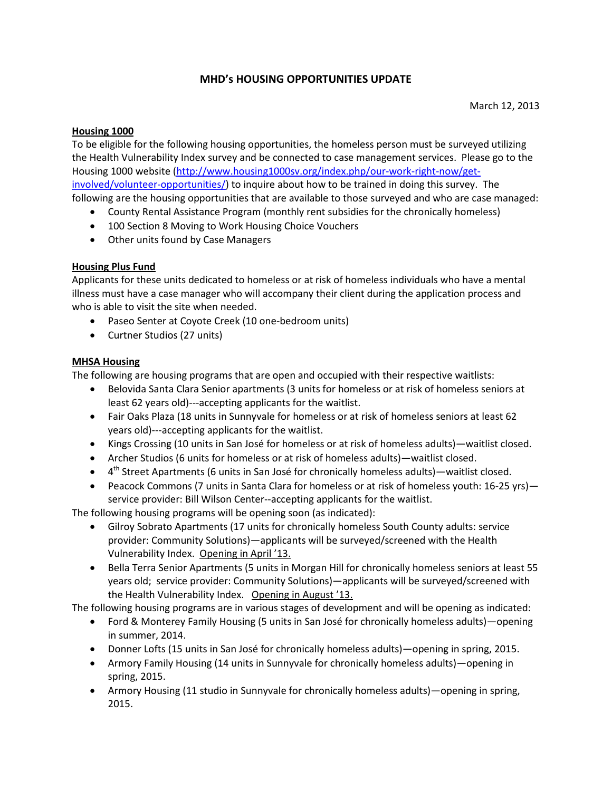# **MHD's HOUSING OPPORTUNITIES UPDATE**

#### **Housing 1000**

To be eligible for the following housing opportunities, the homeless person must be surveyed utilizing the Health Vulnerability Index survey and be connected to case management services. Please go to the Housing 1000 website [\(http://www.housing1000sv.org/index.php/our-work-right-now/get](http://www.housing1000sv.org/index.php/our-work-right-now/get-involved/volunteer-opportunities/)[involved/volunteer-opportunities/\)](http://www.housing1000sv.org/index.php/our-work-right-now/get-involved/volunteer-opportunities/) to inquire about how to be trained in doing this survey. The following are the housing opportunities that are available to those surveyed and who are case managed:

- County Rental Assistance Program (monthly rent subsidies for the chronically homeless)
- 100 Section 8 Moving to Work Housing Choice Vouchers
- Other units found by Case Managers

## **Housing Plus Fund**

Applicants for these units dedicated to homeless or at risk of homeless individuals who have a mental illness must have a case manager who will accompany their client during the application process and who is able to visit the site when needed.

- Paseo Senter at Coyote Creek (10 one-bedroom units)
- Curtner Studios (27 units)

## **MHSA Housing**

The following are housing programs that are open and occupied with their respective waitlists:

- Belovida Santa Clara Senior apartments (3 units for homeless or at risk of homeless seniors at least 62 years old)---accepting applicants for the waitlist.
- Fair Oaks Plaza (18 units in Sunnyvale for homeless or at risk of homeless seniors at least 62 years old)---accepting applicants for the waitlist.
- Kings Crossing (10 units in San José for homeless or at risk of homeless adults)—waitlist closed.
- Archer Studios (6 units for homeless or at risk of homeless adults)—waitlist closed.
- 4<sup>th</sup> Street Apartments (6 units in San José for chronically homeless adults)—waitlist closed.
- Peacock Commons (7 units in Santa Clara for homeless or at risk of homeless youth: 16-25 yrs) service provider: Bill Wilson Center--accepting applicants for the waitlist.

The following housing programs will be opening soon (as indicated):

- Gilroy Sobrato Apartments (17 units for chronically homeless South County adults: service provider: Community Solutions)—applicants will be surveyed/screened with the Health Vulnerability Index. Opening in April '13.
- Bella Terra Senior Apartments (5 units in Morgan Hill for chronically homeless seniors at least 55 years old; service provider: Community Solutions)—applicants will be surveyed/screened with the Health Vulnerability Index. Opening in August '13.

The following housing programs are in various stages of development and will be opening as indicated:

- Ford & Monterey Family Housing (5 units in San José for chronically homeless adults)—opening in summer, 2014.
- Donner Lofts (15 units in San José for chronically homeless adults)—opening in spring, 2015.
- Armory Family Housing (14 units in Sunnyvale for chronically homeless adults)—opening in spring, 2015.
- Armory Housing (11 studio in Sunnyvale for chronically homeless adults)—opening in spring, 2015.